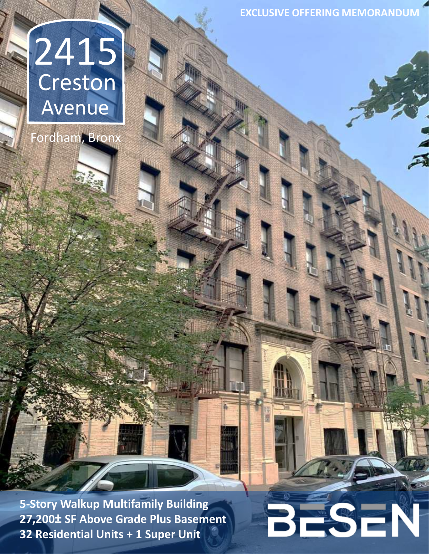**EXCLUSIVE OFFERING MEMORANDUM**

BESEN

# 2415 Avenue Creston

Fordham, Bronx

**5-Story Walkup Multifamily Building 27,200± SF Above Grade Plus Basement 32 Residential Units + 1 Super Unit**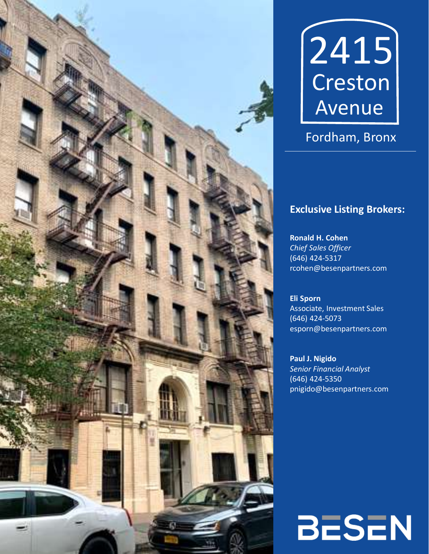



# Fordham, Bronx

## **Exclusive Listing Brokers:**

**Ronald H. Cohen** *Chief Sales Officer* (646) 424-5317 rcohen@besenpartners.com

**Eli Sporn** Associate, Investment Sales (646) 424-5073 esporn@besenpartners.com

**Paul J. Nigido** *Senior Financial Analyst* (646) 424-5350 pnigido@besenpartners.com

# **BESEN**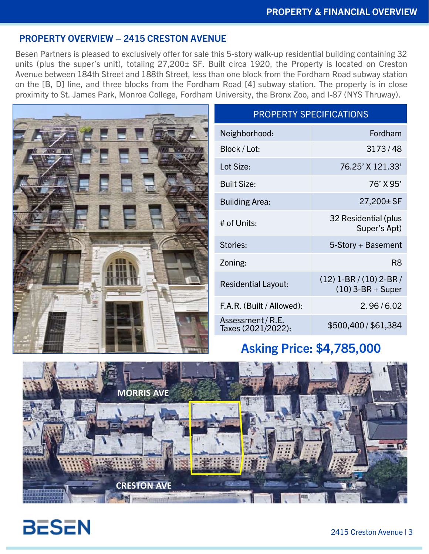#### **PROPERTY OVERVIEW – 2415 CRESTON AVENUE**

Besen Partners is pleased to exclusively offer for sale this 5-story walk-up residential building containing 32 units (plus the super's unit), totaling 27,200± SF. Built circa 1920, the Property is located on Creston Avenue between 184th Street and 188th Street, less than one block from the Fordham Road subway station on the [B, D] line, and three blocks from the Fordham Road [4] subway station. The property is in close proximity to St. James Park, Monroe College, Fordham University, the Bronx Zoo, and I-87 (NYS Thruway).



## PROPERTY SPECIFICATIONS

| Neighborhood:                           | Fordham                                          |
|-----------------------------------------|--------------------------------------------------|
| Block / Lot:                            | 3173/48                                          |
| Lot Size:                               | 76.25' X 121.33'                                 |
| <b>Built Size:</b>                      | 76' X 95'                                        |
| <b>Building Area:</b>                   | $27,200 \pm S$ F                                 |
| # of Units:                             | 32 Residential (plus<br>Super's Apt)             |
| Stories:                                | 5-Story + Basement                               |
| Zoning:                                 | R8                                               |
| <b>Residential Layout:</b>              | $(12)$ 1-BR / (10) 2-BR /<br>$(10)$ 3-BR + Super |
| F.A.R. (Built / Allowed):               | 2.96/6.02                                        |
| Assessment / R.E.<br>Taxes (2021/2022): | \$500,400 / \$61,384                             |

## **Asking Price: \$4,785,000**



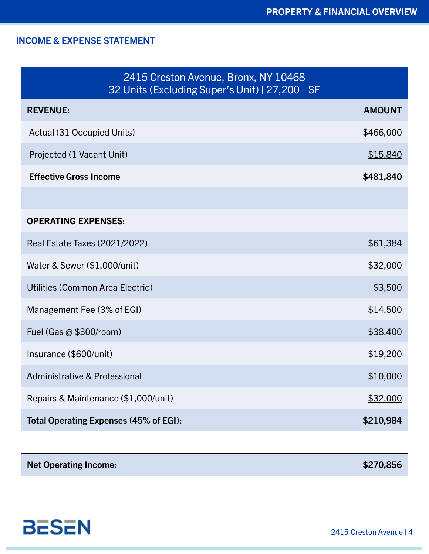## **INCOME & EXPENSE STATEMENT**

| 2415 Creston Avenue, Bronx, NY 10468<br>32 Units (Excluding Super's Unit)   27,200 ± SF |               |  |  |  |  |
|-----------------------------------------------------------------------------------------|---------------|--|--|--|--|
| <b>REVENUE:</b>                                                                         | <b>AMOUNT</b> |  |  |  |  |
| Actual (31 Occupied Units)                                                              | \$466,000     |  |  |  |  |
| Projected (1 Vacant Unit)                                                               | \$15,840      |  |  |  |  |
| <b>Effective Gross Income</b>                                                           | \$481,840     |  |  |  |  |
|                                                                                         |               |  |  |  |  |
| <b>OPERATING EXPENSES:</b>                                                              |               |  |  |  |  |
| Real Estate Taxes (2021/2022)                                                           | \$61,384      |  |  |  |  |
| Water & Sewer (\$1,000/unit)                                                            | \$32,000      |  |  |  |  |
| Utilities (Common Area Electric)                                                        | \$3,500       |  |  |  |  |
| Management Fee (3% of EGI)                                                              | \$14,500      |  |  |  |  |
| Fuel (Gas $@$ \$300/room)                                                               | \$38,400      |  |  |  |  |
| Insurance (\$600/unit)                                                                  | \$19,200      |  |  |  |  |
| <b>Administrative &amp; Professional</b>                                                | \$10,000      |  |  |  |  |
| Repairs & Maintenance (\$1,000/unit)                                                    | \$32,000      |  |  |  |  |
| Total Operating Expenses (45% of EGI):<br>\$210,984                                     |               |  |  |  |  |

| \$270,856 |
|-----------|
|           |



2415 Creston Avenue | 4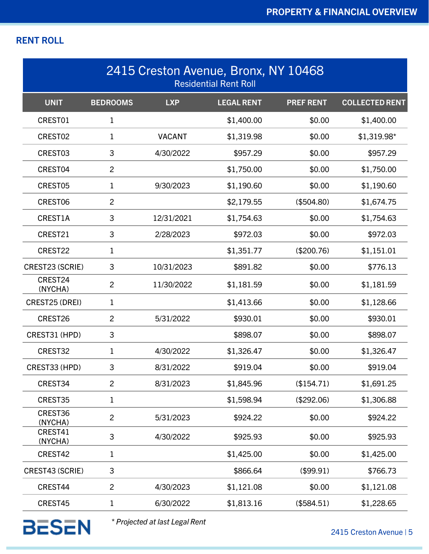## **RENT ROLL**

| 2415 Creston Avenue, Bronx, NY 10468<br><b>Residential Rent Roll</b> |                 |               |                   |                  |                       |
|----------------------------------------------------------------------|-----------------|---------------|-------------------|------------------|-----------------------|
| <b>UNIT</b>                                                          | <b>BEDROOMS</b> | <b>LXP</b>    | <b>LEGAL RENT</b> | <b>PREF RENT</b> | <b>COLLECTED RENT</b> |
| CREST01                                                              | $\mathbf 1$     |               | \$1,400.00        | \$0.00           | \$1,400.00            |
| CREST02                                                              | $\mathbf 1$     | <b>VACANT</b> | \$1,319.98        | \$0.00           | \$1,319.98*           |
| CREST03                                                              | 3               | 4/30/2022     | \$957.29          | \$0.00           | \$957.29              |
| CREST04                                                              | $\overline{2}$  |               | \$1,750.00        | \$0.00           | \$1,750.00            |
| CREST05                                                              | $\mathbf{1}$    | 9/30/2023     | \$1,190.60        | \$0.00           | \$1,190.60            |
| CREST06                                                              | $\overline{2}$  |               | \$2,179.55        | (\$504.80)       | \$1,674.75            |
| CREST1A                                                              | 3               | 12/31/2021    | \$1,754.63        | \$0.00           | \$1,754.63            |
| CREST21                                                              | 3               | 2/28/2023     | \$972.03          | \$0.00           | \$972.03              |
| CREST22                                                              | $\mathbf 1$     |               | \$1,351.77        | (\$200.76)       | \$1,151.01            |
| CREST23 (SCRIE)                                                      | 3               | 10/31/2023    | \$891.82          | \$0.00           | \$776.13              |
| CREST24<br>(NYCHA)                                                   | $\overline{2}$  | 11/30/2022    | \$1,181.59        | \$0.00           | \$1,181.59            |
| CREST25 (DREI)                                                       | $\mathbf 1$     |               | \$1,413.66        | \$0.00           | \$1,128.66            |
| CREST26                                                              | $\overline{2}$  | 5/31/2022     | \$930.01          | \$0.00           | \$930.01              |
| CREST31 (HPD)                                                        | 3               |               | \$898.07          | \$0.00           | \$898.07              |
| CREST32                                                              | 1               | 4/30/2022     | \$1,326.47        | \$0.00           | \$1,326.47            |
| CREST33 (HPD)                                                        | 3               | 8/31/2022     | \$919.04          | \$0.00           | \$919.04              |
| CREST34                                                              | $\overline{2}$  | 8/31/2023     | \$1,845.96        | (\$154.71)       | \$1,691.25            |
| CREST35                                                              | $\mathbf{1}$    |               | \$1,598.94        | (\$292.06)       | \$1,306.88            |
| CREST36<br>(NYCHA)                                                   | $\overline{2}$  | 5/31/2023     | \$924.22          | \$0.00           | \$924.22              |
| CREST41<br>(NYCHA)                                                   | 3               | 4/30/2022     | \$925.93          | \$0.00           | \$925.93              |
| CREST42                                                              | $\mathbf 1$     |               | \$1,425.00        | \$0.00           | \$1,425.00            |
| CREST43 (SCRIE)                                                      | 3               |               | \$866.64          | (\$99.91)        | \$766.73              |
| CREST44                                                              | $\overline{2}$  | 4/30/2023     | \$1,121.08        | \$0.00           | \$1,121.08            |
| CREST45                                                              | $\mathbf 1$     | 6/30/2022     | \$1,813.16        | (\$584.51)       | \$1,228.65            |

**BESEN** 

*\* Projected at last Legal Rent*

2415 Creston Avenue | 5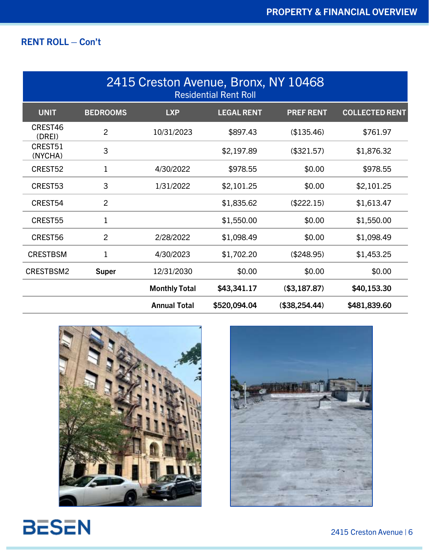## **RENT ROLL – Con't**

| 2415 Creston Avenue, Bronx, NY 10468<br><b>Residential Rent Roll</b> |                 |                      |                   |                  |                       |  |
|----------------------------------------------------------------------|-----------------|----------------------|-------------------|------------------|-----------------------|--|
| <b>UNIT</b>                                                          | <b>BEDROOMS</b> | <b>LXP</b>           | <b>LEGAL RENT</b> | <b>PREF RENT</b> | <b>COLLECTED RENT</b> |  |
| CREST46<br>(DREI)                                                    | $\overline{2}$  | 10/31/2023           | \$897.43          | (\$135.46)       | \$761.97              |  |
| CREST51<br>(NYCHA)                                                   | 3               |                      | \$2,197.89        | (\$321.57)       | \$1,876.32            |  |
| CREST52                                                              | $\mathbf 1$     | 4/30/2022            | \$978.55          | \$0.00           | \$978.55              |  |
| CREST53                                                              | 3               | 1/31/2022            | \$2,101.25        | \$0.00           | \$2,101.25            |  |
| CREST54                                                              | $\overline{2}$  |                      | \$1,835.62        | (\$222.15)       | \$1,613.47            |  |
| CREST55                                                              | $\mathbf 1$     |                      | \$1,550.00        | \$0.00           | \$1,550.00            |  |
| CREST56                                                              | $\overline{2}$  | 2/28/2022            | \$1,098.49        | \$0.00           | \$1,098.49            |  |
| <b>CRESTBSM</b>                                                      | $\mathbf 1$     | 4/30/2023            | \$1,702.20        | (\$248.95)       | \$1,453.25            |  |
| CRESTBSM2                                                            | <b>Super</b>    | 12/31/2030           | \$0.00            | \$0.00           | \$0.00                |  |
|                                                                      |                 | <b>Monthly Total</b> | \$43,341.17       | (\$3,187.87)     | \$40,153.30           |  |
|                                                                      |                 | <b>Annual Total</b>  | \$520,094.04      | (\$38,254.44)    | \$481,839.60          |  |





**BESEN**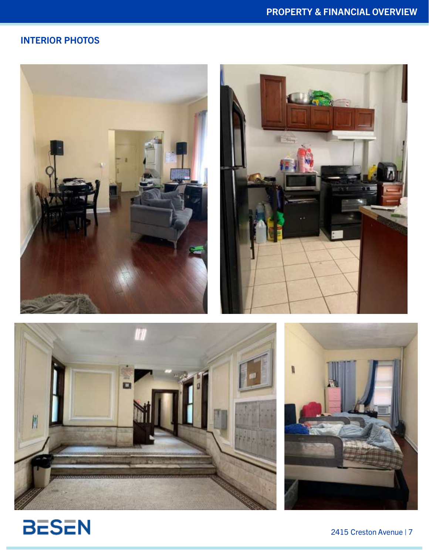## **INTERIOR PHOTOS**









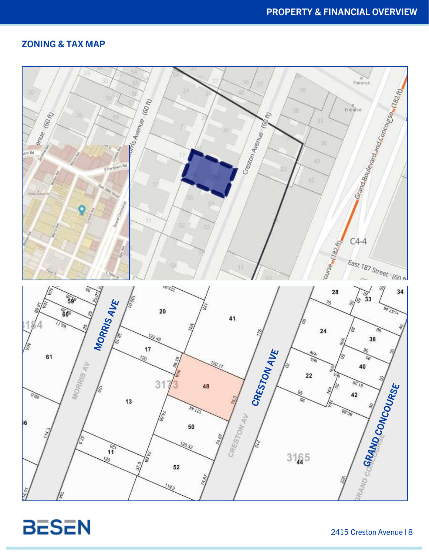### **ZONING & TAX MAP**



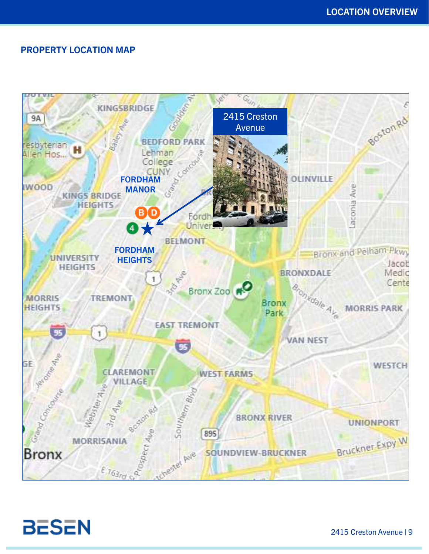#### **PROPERTY LOCATION MAP**



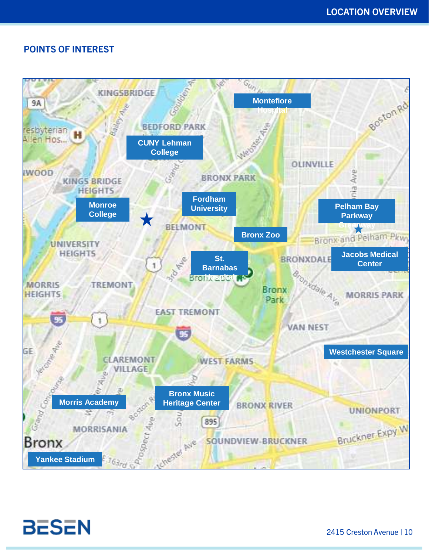### **POINTS OF INTEREST**



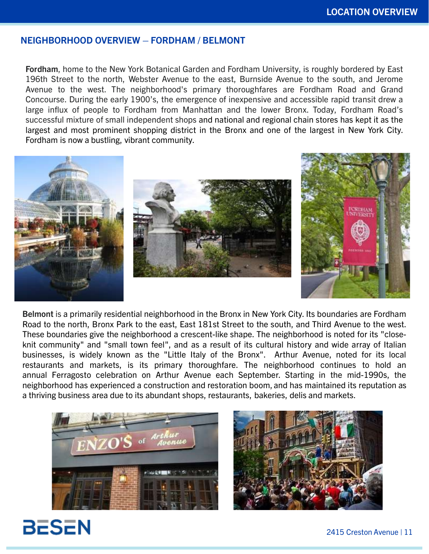#### **NEIGHBORHOOD OVERVIEW – FORDHAM / BELMONT**

**Fordham**, home to the New York Botanical Garden and Fordham University, is roughly bordered by East 196th Street to the north, Webster Avenue to the east, Burnside Avenue to the south, and Jerome Avenue to the west. The neighborhood's primary thoroughfares are Fordham Road and Grand Concourse. During the early 1900's, the emergence of inexpensive and accessible rapid transit drew a large influx of people to Fordham from Manhattan and the lower Bronx. Today, Fordham Road's successful mixture of small independent shops and national and regional chain stores has kept it as the largest and most prominent shopping district in the Bronx and one of the largest in New York City. Fordham is now a bustling, vibrant community.



**Belmont** is a primarily residential neighborhood in the Bronx in New York City. Its boundaries are Fordham Road to the north, Bronx Park to the east, East 181st Street to the south, and Third Avenue to the west. These boundaries give the neighborhood a crescent-like shape. The neighborhood is noted for its "closeknit community" and "small town feel", and as a result of its cultural history and wide array of Italian businesses, is widely known as the "Little Italy of the Bronx". Arthur Avenue, noted for its local restaurants and markets, is its primary thoroughfare. The neighborhood continues to hold an annual Ferragosto celebration on Arthur Avenue each September. Starting in the mid-1990s, the neighborhood has experienced a construction and restoration boom, and has maintained its reputation as a thriving business area due to its abundant shops, restaurants, bakeries, delis and markets.